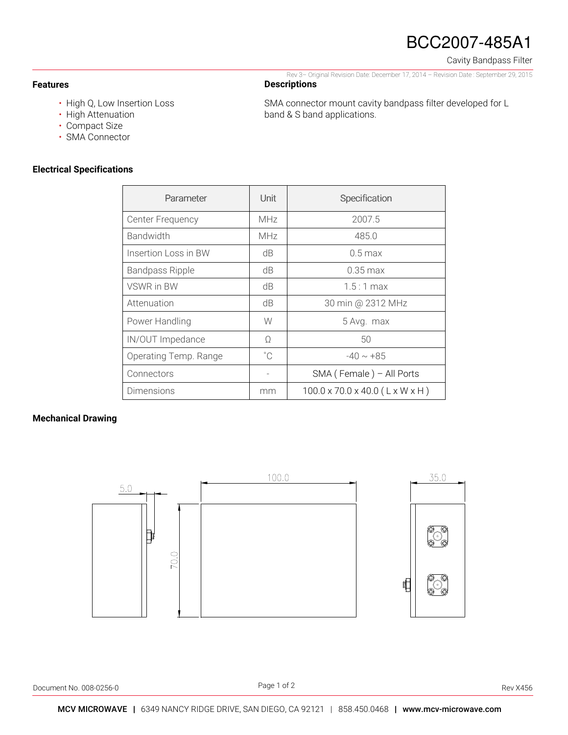# BCC2007-485A1

Rev 3– Original Revision Date: December 17, 2014 – Revision Date : September 29, 2015

SMA connector mount cavity bandpass filter developed for L

Cavity Bandpass Filter

#### **Features**

- High Q, Low Insertion Loss
- High Attenuation
- Compact Size
- SMA Connector

### **Electrical Specifications**

| Parameter               | Unit         | Specification                               |
|-------------------------|--------------|---------------------------------------------|
| <b>Center Frequency</b> | <b>MHz</b>   | 2007.5                                      |
| <b>Bandwidth</b>        | <b>MHz</b>   | 485.0                                       |
| Insertion Loss in BW    | dB           | $0.5$ max                                   |
| <b>Bandpass Ripple</b>  | dB           | $0.35 \,\mathrm{max}$                       |
| <b>VSWR in BW</b>       | dB           | $1.5:1$ max                                 |
| Attenuation             | dB           | 30 min @ 2312 MHz                           |
| Power Handling          | W            | 5 Avg. max                                  |
| IN/OUT Impedance        | Ω            | 50                                          |
| Operating Temp. Range   | $^{\circ}$ C | $-40 \sim +85$                              |
| Connectors              |              | SMA (Female) - All Ports                    |
| Dimensions              | mm           | $100.0 \times 70.0 \times 40.0$ (L x W x H) |

**Descriptions** 

band & S band applications.

#### **Mechanical Drawing**



Document No. 008-0256-0 Rev X456

Page 1 of 2